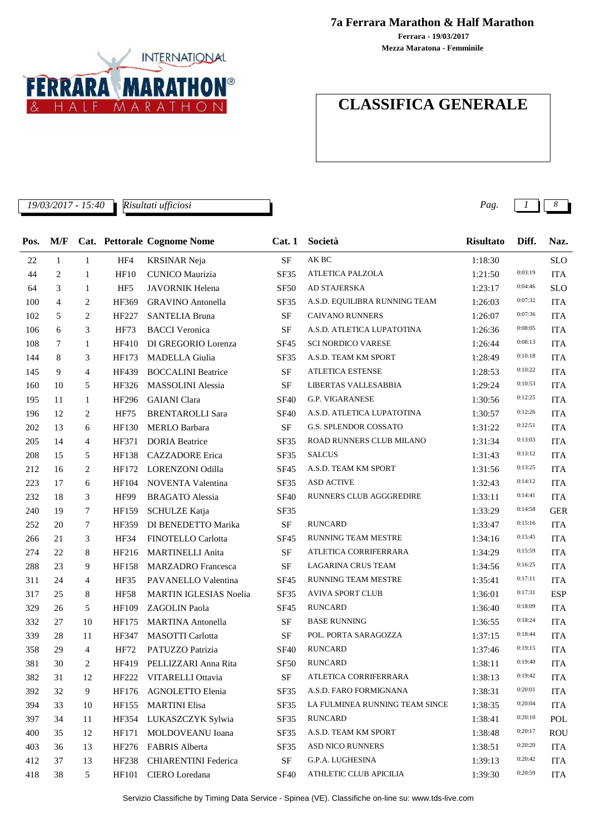

**7a Ferrara Marathon & Half Marathon**

**Mezza Maratona - Femminile Ferrara - 19/03/2017**

## **CLASSIFICA GENERALE**

*19/03/2017 - 15:40 Pag. 1 8*

| Pos. | M/F |                |                 | Cat. Pettorale Cognome Nome   | Cat.1       | Società                        | <b>Risultato</b> | Diff.   | Naz.       |
|------|-----|----------------|-----------------|-------------------------------|-------------|--------------------------------|------------------|---------|------------|
| 22   | 1   | 1              | HF4             | <b>KRSINAR Neja</b>           | <b>SF</b>   | $\mathbf A\mathbf K$ BC        | 1:18:30          |         | <b>SLO</b> |
| 44   | 2   | $\mathbf{1}$   | HF10            | <b>CUNICO Maurizia</b>        | <b>SF35</b> | ATLETICA PALZOLA               | 1:21:50          | 0:03:19 | <b>ITA</b> |
| 64   | 3   | 1              | HF <sub>5</sub> | <b>JAVORNIK Helena</b>        | <b>SF50</b> | AD STAJERSKA                   | 1:23:17          | 0:04:46 | <b>SLO</b> |
| 100  | 4   | 2              | HF369           | <b>GRAVINO</b> Antonella      | SF35        | A.S.D. EQUILIBRA RUNNING TEAM  | 1:26:03          | 0:07:32 | <b>ITA</b> |
| 102  | 5   | 2              | HF227           | <b>SANTELIA Bruna</b>         | <b>SF</b>   | <b>CAIVANO RUNNERS</b>         | 1:26:07          | 0:07:36 | <b>ITA</b> |
| 106  | 6   | 3              | <b>HF73</b>     | <b>BACCI</b> Veronica         | <b>SF</b>   | A.S.D. ATLETICA LUPATOTINA     | 1:26:36          | 0:08:05 | <b>ITA</b> |
| 108  | 7   | 1              | HF410           | DI GREGORIO Lorenza           | <b>SF45</b> | <b>SCI NORDICO VARESE</b>      | 1:26:44          | 0:08:13 | <b>ITA</b> |
| 144  | 8   | 3              | HF173           | <b>MADELLA</b> Giulia         | SF35        | A.S.D. TEAM KM SPORT           | 1:28:49          | 0:10:18 | <b>ITA</b> |
| 145  | 9   | $\overline{4}$ | HF439           | <b>BOCCALINI Beatrice</b>     | <b>SF</b>   | <b>ATLETICA ESTENSE</b>        | 1:28:53          | 0:10:22 | <b>ITA</b> |
| 160  | 10  | 5              | HF326           | <b>MASSOLINI</b> Alessia      | <b>SF</b>   | LIBERTAS VALLESABBIA           | 1:29:24          | 0:10:53 | <b>ITA</b> |
| 195  | 11  | 1              | HF296           | <b>GAIANI</b> Clara           | <b>SF40</b> | G.P. VIGARANESE                | 1:30:56          | 0:12:25 | <b>ITA</b> |
| 196  | 12  | 2              | <b>HF75</b>     | <b>BRENTAROLLI Sara</b>       | <b>SF40</b> | A.S.D. ATLETICA LUPATOTINA     | 1:30:57          | 0:12:26 | <b>ITA</b> |
| 202  | 13  | 6              | HF130           | <b>MERLO Barbara</b>          | SF          | G.S. SPLENDOR COSSATO          | 1:31:22          | 0:12:51 | <b>ITA</b> |
| 205  | 14  | 4              | HF371           | <b>DORIA</b> Beatrice         | <b>SF35</b> | ROAD RUNNERS CLUB MILANO       | 1:31:34          | 0:13:03 | <b>ITA</b> |
| 208  | 15  | 5              | HF138           | <b>CAZZADORE</b> Erica        | <b>SF35</b> | <b>SALCUS</b>                  | 1:31:43          | 0:13:12 | <b>ITA</b> |
| 212  | 16  | 2              | HF172           | LORENZONI Odilla              | <b>SF45</b> | A.S.D. TEAM KM SPORT           | 1:31:56          | 0:13:25 | <b>ITA</b> |
| 223  | 17  | 6              | HF104           | NOVENTA Valentina             | <b>SF35</b> | <b>ASD ACTIVE</b>              | 1:32:43          | 0:14:12 | <b>ITA</b> |
| 232  | 18  | 3              | <b>HF99</b>     | <b>BRAGATO</b> Alessia        | <b>SF40</b> | RUNNERS CLUB AGGGREDIRE        | 1:33:11          | 0:14:41 | <b>ITA</b> |
| 240  | 19  | 7              | HF159           | <b>SCHULZE Katja</b>          | SF35        |                                | 1:33:29          | 0:14:58 | <b>GER</b> |
| 252  | 20  | 7              | HF359           | DI BENEDETTO Marika           | <b>SF</b>   | <b>RUNCARD</b>                 | 1:33:47          | 0:15:16 | <b>ITA</b> |
| 266  | 21  | 3              | <b>HF34</b>     | FINOTELLO Carlotta            | <b>SF45</b> | RUNNING TEAM MESTRE            | 1:34:16          | 0:15:45 | <b>ITA</b> |
| 274  | 22  | 8              | HF216           | <b>MARTINELLI Anita</b>       | <b>SF</b>   | ATLETICA CORRIFERRARA          | 1:34:29          | 0:15:59 | <b>ITA</b> |
| 288  | 23  | 9              | HF158           | <b>MARZADRO</b> Francesca     | SF          | LAGARINA CRUS TEAM             | 1:34:56          | 0:16:25 | <b>ITA</b> |
| 311  | 24  | 4              | <b>HF35</b>     | PAVANELLO Valentina           | <b>SF45</b> | RUNNING TEAM MESTRE            | 1:35:41          | 0:17:11 | <b>ITA</b> |
| 317  | 25  | 8              | <b>HF58</b>     | <b>MARTIN IGLESIAS Noelia</b> | SF35        | <b>AVIVA SPORT CLUB</b>        | 1:36:01          | 0:17:31 | <b>ESP</b> |
| 329  | 26  | 5              | HF109           | <b>ZAGOLIN</b> Paola          | <b>SF45</b> | <b>RUNCARD</b>                 | 1:36:40          | 0:18:09 | <b>ITA</b> |
| 332  | 27  | 10             | HF175           | <b>MARTINA Antonella</b>      | <b>SF</b>   | <b>BASE RUNNING</b>            | 1:36:55          | 0:18:24 | <b>ITA</b> |
| 339  | 28  | 11             | HF347           | <b>MASOTTI Carlotta</b>       | <b>SF</b>   | POL. PORTA SARAGOZZA           | 1:37:15          | 0:18:44 | <b>ITA</b> |
| 358  | 29  | 4              | HF72            | PATUZZO Patrizia              | <b>SF40</b> | <b>RUNCARD</b>                 | 1:37:46          | 0:19:15 | <b>ITA</b> |
| 381  | 30  | 2              |                 | HF419 PELLIZZARI Anna Rita    | <b>SF50</b> | <b>RUNCARD</b>                 | 1:38:11          | 0:19:40 | <b>ITA</b> |
| 382  | 31  | 12             |                 | HF222 VITARELLI Ottavia       | $\rm SF$    | ATLETICA CORRIFERRARA          | 1:38:13          | 0:19:42 | <b>ITA</b> |
| 392  | 32  | 9              | HF176           | <b>AGNOLETTO Elenia</b>       | SF35        | A.S.D. FARO FORMIGNANA         | 1:38:31          | 0:20:01 | <b>ITA</b> |
| 394  | 33  | 10             | HF155           | <b>MARTINI Elisa</b>          | SF35        | LA FULMINEA RUNNING TEAM SINCE | 1:38:35          | 0:20:04 | <b>ITA</b> |
| 397  | 34  | 11             | HF354           | LUKASZCZYK Sylwia             | SF35        | <b>RUNCARD</b>                 | 1:38:41          | 0:20:10 | <b>POL</b> |
| 400  | 35  | 12             | HF171           | MOLDOVEANU Ioana              | SF35        | A.S.D. TEAM KM SPORT           | 1:38:48          | 0:20:17 | <b>ROU</b> |
| 403  | 36  | 13             | HF276           | <b>FABRIS Alberta</b>         | <b>SF35</b> | ASD NICO RUNNERS               | 1:38:51          | 0:20:20 | <b>ITA</b> |
| 412  | 37  | 13             | HF238           | <b>CHIARENTINI</b> Federica   | SF          | G.P.A. LUGHESINA               | 1:39:13          | 0:20:42 | <b>ITA</b> |
| 418  | 38  | 5              | HF101           | CIERO Loredana                | <b>SF40</b> | ATHLETIC CLUB APICILIA         | 1:39:30          | 0:20:59 | <b>ITA</b> |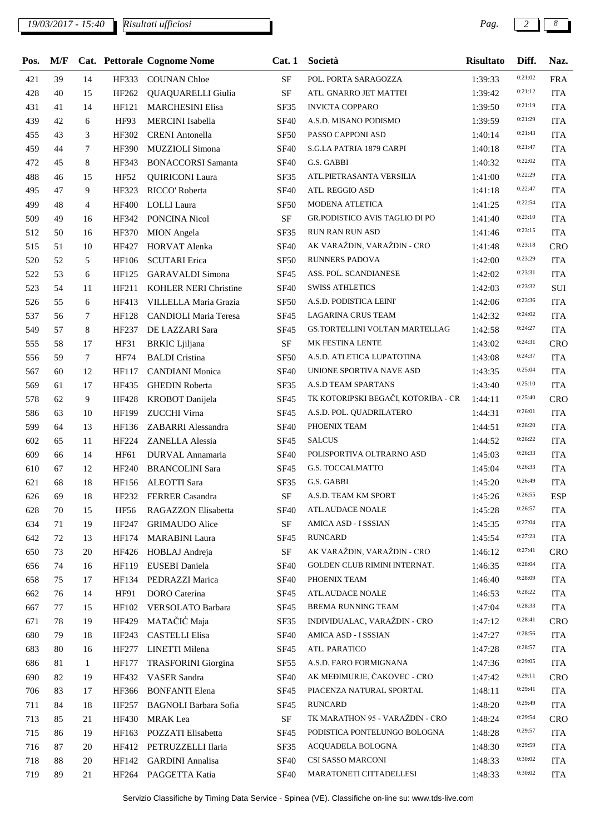## *19/03/2017 - 15:40 Pag. 2 8*

*Risultati ufficiosi*

 $\overline{\phantom{a}}$ 

| Pos. | M/F |              |              | Cat. Pettorale Cognome Nome  | Cat.1            | Società                             | <b>Risultato</b> | Diff.   | Naz.       |
|------|-----|--------------|--------------|------------------------------|------------------|-------------------------------------|------------------|---------|------------|
| 421  | 39  | 14           | HF333        | <b>COUNAN Chloe</b>          | <b>SF</b>        | POL. PORTA SARAGOZZA                | 1:39:33          | 0:21:02 | <b>FRA</b> |
| 428  | 40  | 15           | HF262        | QUAQUARELLI Giulia           | $\rm{SF}$        | ATL. GNARRO JET MATTEI              | 1:39:42          | 0:21:12 | <b>ITA</b> |
| 431  | 41  | 14           | HF121        | <b>MARCHESINI Elisa</b>      | SF35             | <b>INVICTA COPPARO</b>              | 1:39:50          | 0:21:19 | <b>ITA</b> |
| 439  | 42  | 6            | HF93         | <b>MERCINI</b> Isabella      | <b>SF40</b>      | A.S.D. MISANO PODISMO               | 1:39:59          | 0:21:29 | <b>ITA</b> |
| 455  | 43  | 3            | HF302        | <b>CRENI</b> Antonella       | <b>SF50</b>      | PASSO CAPPONI ASD                   | 1:40:14          | 0:21:43 | <b>ITA</b> |
| 459  | 44  | 7            | HF390        | MUZZIOLI Simona              | <b>SF40</b>      | S.G.LA PATRIA 1879 CARPI            | 1:40:18          | 0:21:47 | <b>ITA</b> |
| 472  | 45  | 8            | HF343        | <b>BONACCORSI Samanta</b>    | <b>SF40</b>      | G.S. GABBI                          | 1:40:32          | 0:22:02 | <b>ITA</b> |
| 488  | 46  | 15           | <b>HF52</b>  | <b>QUIRICONI</b> Laura       | SF35             | ATL.PIETRASANTA VERSILIA            | 1:41:00          | 0:22:29 | <b>ITA</b> |
| 495  | 47  | 9            | HF323        | RICCO' Roberta               | <b>SF40</b>      | ATL. REGGIO ASD                     | 1:41:18          | 0:22:47 | <b>ITA</b> |
| 499  | 48  | 4            | <b>HF400</b> | <b>LOLLI</b> Laura           | <b>SF50</b>      | MODENA ATLETICA                     | 1:41:25          | 0:22:54 | <b>ITA</b> |
| 509  | 49  | 16           | HF342        | PONCINA Nicol                | <b>SF</b>        | GR.PODISTICO AVIS TAGLIO DI PO      | 1:41:40          | 0:23:10 | <b>ITA</b> |
| 512  | 50  | 16           | HF370        | <b>MION</b> Angela           | <b>SF35</b>      | <b>RUN RAN RUN ASD</b>              | 1:41:46          | 0:23:15 | <b>ITA</b> |
| 515  | 51  | 10           | HF427        | <b>HORVAT Alenka</b>         | <b>SF40</b>      | AK VARAŽDIN, VARAŽDIN - CRO         | 1:41:48          | 0:23:18 | CRO        |
| 520  | 52  | 5            | HF106        | <b>SCUTARI</b> Erica         | <b>SF50</b>      | <b>RUNNERS PADOVA</b>               | 1:42:00          | 0:23:29 | <b>ITA</b> |
| 522  | 53  | 6            | HF125        | <b>GARAVALDI</b> Simona      | <b>SF45</b>      | ASS. POL. SCANDIANESE               | 1:42:02          | 0:23:31 | <b>ITA</b> |
| 523  | 54  | 11           | HF211        | <b>KOHLER NERI Christine</b> | <b>SF40</b>      | <b>SWISS ATHLETICS</b>              | 1:42:03          | 0:23:32 | SUI        |
| 526  | 55  | 6            | HF413        | VILLELLA Maria Grazia        | <b>SF50</b>      | A.S.D. PODISTICA LEINI'             | 1:42:06          | 0:23:36 | <b>ITA</b> |
| 537  | 56  | 7            | HF128        | CANDIOLI Maria Teresa        | <b>SF45</b>      | <b>LAGARINA CRUS TEAM</b>           | 1:42:32          | 0:24:02 | <b>ITA</b> |
| 549  | 57  | 8            | HF237        | DE LAZZARI Sara              | SF <sub>45</sub> | GS.TORTELLINI VOLTAN MARTELLAG      | 1:42:58          | 0:24:27 | <b>ITA</b> |
| 555  | 58  | 17           | HF31         | <b>BRKIC</b> Ljiljana        | $\rm{SF}$        | MK FESTINA LENTE                    | 1:43:02          | 0:24:31 | CRO        |
| 556  | 59  | $\tau$       | <b>HF74</b>  | <b>BALDI</b> Cristina        | <b>SF50</b>      | A.S.D. ATLETICA LUPATOTINA          | 1:43:08          | 0:24:37 | <b>ITA</b> |
| 567  | 60  | 12           | HF117        | <b>CANDIANI</b> Monica       | <b>SF40</b>      | UNIONE SPORTIVA NAVE ASD            | 1:43:35          | 0:25:04 | <b>ITA</b> |
| 569  | 61  | 17           | HF435        | <b>GHEDIN Roberta</b>        | <b>SF35</b>      | A.S.D TEAM SPARTANS                 | 1:43:40          | 0:25:10 | <b>ITA</b> |
| 578  | 62  | 9            | <b>HF428</b> | KROBOT Danijela              | <b>SF45</b>      | TK KOTORIPSKI BEGAČI, KOTORIBA - CR | 1:44:11          | 0:25:40 | CRO        |
| 586  | 63  | 10           | <b>HF199</b> | ZUCCHI Virna                 | <b>SF45</b>      | A.S.D. POL. QUADRILATERO            | 1:44:31          | 0:26:01 | <b>ITA</b> |
| 599  | 64  | 13           | HF136        | ZABARRI Alessandra           | <b>SF40</b>      | PHOENIX TEAM                        | 1:44:51          | 0:26:20 | <b>ITA</b> |
| 602  | 65  | 11           | HF224        | <b>ZANELLA Alessia</b>       | <b>SF45</b>      | <b>SALCUS</b>                       | 1:44:52          | 0:26:22 | <b>ITA</b> |
| 609  | 66  | 14           | HF61         | DURVAL Annamaria             | <b>SF40</b>      | POLISPORTIVA OLTRARNO ASD           | 1:45:03          | 0:26:33 | <b>ITA</b> |
| 610  | 67  | 12           | HF240        | <b>BRANCOLINI Sara</b>       | <b>SF45</b>      | G.S. TOCCALMATTO                    | 1:45:04          | 0:26:33 | <b>ITA</b> |
| 621  | 68  | 18           | HF156        | <b>ALEOTTI</b> Sara          | <b>SF35</b>      | G.S. GABBI                          | 1:45:20          | 0:26:49 | <b>ITA</b> |
| 626  | 69  | 18           | HF232        | <b>FERRER</b> Casandra       | $\rm SF$         | A.S.D. TEAM KM SPORT                | 1:45:26          | 0:26:55 | <b>ESP</b> |
| 628  | 70  | 15           | HF56         | RAGAZZON Elisabetta          | <b>SF40</b>      | <b>ATL.AUDACE NOALE</b>             | 1:45:28          | 0:26:57 | <b>ITA</b> |
| 634  | 71  | 19           | HF247        | <b>GRIMAUDO</b> Alice        | $\rm SF$         | AMICA ASD - I SSSIAN                | 1:45:35          | 0:27:04 | <b>ITA</b> |
| 642  | 72  | 13           | HF174        | <b>MARABINI</b> Laura        | SF <sub>45</sub> | <b>RUNCARD</b>                      | 1:45:54          | 0:27:23 | <b>ITA</b> |
| 650  | 73  | 20           | HF426        | HOBLAJ Andreja               | $\rm{SF}$        | AK VARAŽDIN, VARAŽDIN - CRO         | 1:46:12          | 0:27:41 | <b>CRO</b> |
| 656  | 74  | 16           | HF119        | EUSEBI Daniela               | <b>SF40</b>      | GOLDEN CLUB RIMINI INTERNAT.        | 1:46:35          | 0:28:04 | <b>ITA</b> |
| 658  | 75  | 17           | HF134        | PEDRAZZI Marica              | <b>SF40</b>      | PHOENIX TEAM                        | 1:46:40          | 0:28:09 | <b>ITA</b> |
| 662  | 76  | 14           | HF91         | DORO Caterina                | SF <sub>45</sub> | <b>ATL.AUDACE NOALE</b>             | 1:46:53          | 0:28:22 | <b>ITA</b> |
| 667  | 77  | 15           | HF102        | VERSOLATO Barbara            | SF <sub>45</sub> | BREMA RUNNING TEAM                  | 1:47:04          | 0:28:33 | <b>ITA</b> |
| 671  | 78  | 19           | HF429        | MATAČIĆ Maja                 | SF35             | INDIVIDUALAC, VARAŽDIN - CRO        | 1:47:12          | 0:28:41 | <b>CRO</b> |
| 680  | 79  | 18           | HF243        | <b>CASTELLI Elisa</b>        | <b>SF40</b>      | AMICA ASD - I SSSIAN                | 1:47:27          | 0:28:56 | <b>ITA</b> |
| 683  | 80  | 16           | HF277        | LINETTI Milena               | SF <sub>45</sub> | ATL. PARATICO                       | 1:47:28          | 0:28:57 | <b>ITA</b> |
| 686  | 81  | $\mathbf{1}$ | <b>HF177</b> | <b>TRASFORINI</b> Giorgina   | SF <sub>55</sub> | A.S.D. FARO FORMIGNANA              | 1:47:36          | 0:29:05 | <b>ITA</b> |
| 690  | 82  | 19           | HF432        | <b>VASER Sandra</b>          | <b>SF40</b>      | AK MEĐIMURJE, ČAKOVEC - CRO         | 1:47:42          | 0:29:11 | <b>CRO</b> |
| 706  | 83  | 17           | HF366        | <b>BONFANTI Elena</b>        | SF <sub>45</sub> | PIACENZA NATURAL SPORTAL            | 1:48:11          | 0:29:41 | <b>ITA</b> |
| 711  | 84  | 18           | HF257        | <b>BAGNOLI Barbara Sofia</b> | <b>SF45</b>      | <b>RUNCARD</b>                      | 1:48:20          | 0:29:49 | <b>ITA</b> |
| 713  | 85  | 21           | HF430        | <b>MRAK</b> Lea              | $\rm{SF}$        | TK MARATHON 95 - VARAŽDIN - CRO     | 1:48:24          | 0:29:54 | <b>CRO</b> |
| 715  | 86  | 19           | HF163        | POZZATI Elisabetta           | <b>SF45</b>      | PODISTICA PONTELUNGO BOLOGNA        | 1:48:28          | 0:29:57 | <b>ITA</b> |
| 716  | 87  | 20           | HF412        | PETRUZZELLI Ilaria           | SF35             | ACQUADELA BOLOGNA                   | 1:48:30          | 0:29:59 | <b>ITA</b> |
| 718  | 88  | 20           | HF142        | <b>GARDINI</b> Annalisa      | <b>SF40</b>      | CSI SASSO MARCONI                   | 1:48:33          | 0:30:02 | <b>ITA</b> |
| 719  | 89  | 21           |              | HF264 PAGGETTA Katia         | <b>SF40</b>      | MARATONETI CITTADELLESI             | 1:48:33          | 0:30:02 | <b>ITA</b> |
|      |     |              |              |                              |                  |                                     |                  |         |            |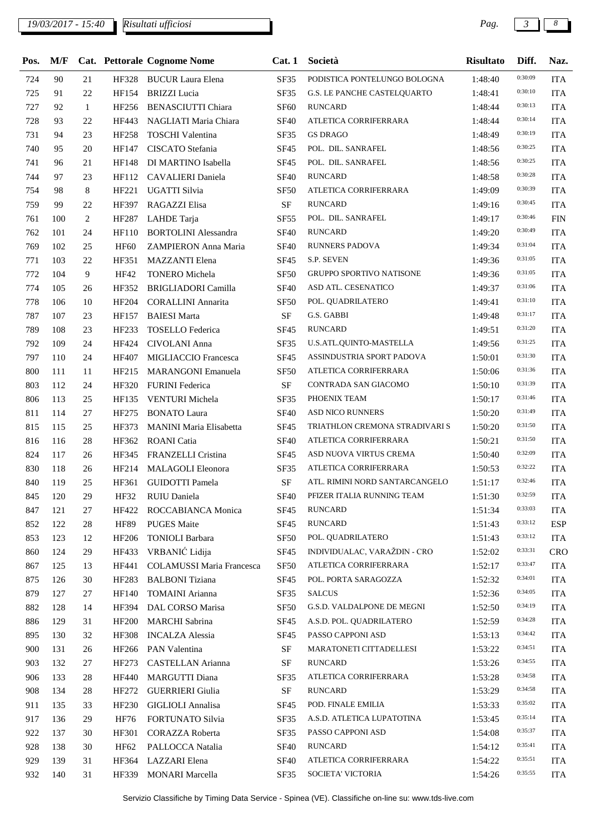| Pos. | M/F |              |              | Cat. Pettorale Cognome Nome    | Cat.1       | Società                         | <b>Risultato</b> | Diff.   | Naz.       |
|------|-----|--------------|--------------|--------------------------------|-------------|---------------------------------|------------------|---------|------------|
| 724  | 90  | 21           |              | HF328 BUCUR Laura Elena        | SF35        | PODISTICA PONTELUNGO BOLOGNA    | 1:48:40          | 0:30:09 | <b>ITA</b> |
| 725  | 91  | 22           | HF154        | <b>BRIZZI</b> Lucia            | SF35        | G.S. LE PANCHE CASTELQUARTO     | 1:48:41          | 0:30:10 | <b>ITA</b> |
| 727  | 92  | $\mathbf{1}$ | HF256        | <b>BENASCIUTTI Chiara</b>      | <b>SF60</b> | <b>RUNCARD</b>                  | 1:48:44          | 0:30:13 | <b>ITA</b> |
| 728  | 93  | 22           | HF443        | NAGLIATI Maria Chiara          | <b>SF40</b> | ATLETICA CORRIFERRARA           | 1:48:44          | 0:30:14 | <b>ITA</b> |
| 731  | 94  | 23           | HF258        | <b>TOSCHI</b> Valentina        | SF35        | <b>GS DRAGO</b>                 | 1:48:49          | 0:30:19 | <b>ITA</b> |
| 740  | 95  | 20           | HF147        | CISCATO Stefania               | <b>SF45</b> | POL. DIL. SANRAFEL              | 1:48:56          | 0:30:25 | <b>ITA</b> |
| 741  | 96  | 21           | <b>HF148</b> | DI MARTINO Isabella            | SF45        | POL. DIL. SANRAFEL              | 1:48:56          | 0:30:25 | <b>ITA</b> |
| 744  | 97  | 23           | HF112        | CAVALIERI Daniela              | <b>SF40</b> | <b>RUNCARD</b>                  | 1:48:58          | 0:30:28 | <b>ITA</b> |
| 754  | 98  | 8            | HF221        | UGATTI Silvia                  | <b>SF50</b> | ATLETICA CORRIFERRARA           | 1:49:09          | 0:30:39 | <b>ITA</b> |
| 759  | 99  | 22           | HF397        | RAGAZZI Elisa                  | $\rm{SF}$   | <b>RUNCARD</b>                  | 1:49:16          | 0:30:45 | <b>ITA</b> |
| 761  | 100 | 2            | HF287        | LAHDE Tarja                    | <b>SF55</b> | POL. DIL. SANRAFEL              | 1:49:17          | 0:30:46 | <b>FIN</b> |
| 762  | 101 | 24           | HF110        | <b>BORTOLINI</b> Alessandra    | <b>SF40</b> | <b>RUNCARD</b>                  | 1:49:20          | 0:30:49 | <b>ITA</b> |
| 769  | 102 | 25           | <b>HF60</b>  | ZAMPIERON Anna Maria           | <b>SF40</b> | <b>RUNNERS PADOVA</b>           | 1:49:34          | 0:31:04 | <b>ITA</b> |
| 771  | 103 | 22           | HF351        | <b>MAZZANTI Elena</b>          | SF45        | S.P. SEVEN                      | 1:49:36          | 0:31:05 | <b>ITA</b> |
| 772  | 104 | 9            | HF42         | <b>TONERO</b> Michela          | <b>SF50</b> | <b>GRUPPO SPORTIVO NATISONE</b> | 1:49:36          | 0:31:05 | <b>ITA</b> |
| 774  | 105 | 26           | HF352        | <b>BRIGLIADORI Camilla</b>     | <b>SF40</b> | ASD ATL. CESENATICO             | 1:49:37          | 0:31:06 | <b>ITA</b> |
| 778  | 106 | 10           | HF204        | <b>CORALLINI Annarita</b>      | <b>SF50</b> | POL. QUADRILATERO               | 1:49:41          | 0:31:10 | <b>ITA</b> |
| 787  | 107 | 23           | HF157        | <b>BAIESI</b> Marta            | $\rm SF$    | G.S. GABBI                      | 1:49:48          | 0:31:17 | <b>ITA</b> |
| 789  | 108 | 23           | HF233        | TOSELLO Federica               | SF45        | <b>RUNCARD</b>                  | 1:49:51          | 0:31:20 | <b>ITA</b> |
| 792  | 109 | 24           | HF424        | <b>CIVOLANI Anna</b>           | SF35        | U.S.ATL.QUINTO-MASTELLA         | 1:49:56          | 0:31:25 | <b>ITA</b> |
| 797  | 110 | 24           | HF407        | MIGLIACCIO Francesca           | <b>SF45</b> | ASSINDUSTRIA SPORT PADOVA       | 1:50:01          | 0:31:30 | <b>ITA</b> |
| 800  | 111 | 11           | HF215        | <b>MARANGONI</b> Emanuela      | <b>SF50</b> | ATLETICA CORRIFERRARA           | 1:50:06          | 0:31:36 | <b>ITA</b> |
| 803  | 112 | 24           | HF320        | <b>FURINI Federica</b>         | $\rm SF$    | CONTRADA SAN GIACOMO            | 1:50:10          | 0:31:39 | <b>ITA</b> |
| 806  | 113 | 25           | HF135        | VENTURI Michela                | SF35        | PHOENIX TEAM                    | 1:50:17          | 0:31:46 | <b>ITA</b> |
| 811  | 114 | 27           | HF275        | <b>BONATO Laura</b>            | <b>SF40</b> | ASD NICO RUNNERS                | 1:50:20          | 0:31:49 | <b>ITA</b> |
| 815  | 115 | 25           | HF373        | <b>MANINI Maria Elisabetta</b> | SF45        | TRIATHLON CREMONA STRADIVARI S  | 1:50:20          | 0:31:50 | <b>ITA</b> |
| 816  | 116 | 28           | HF362        | <b>ROANI</b> Catia             | <b>SF40</b> | ATLETICA CORRIFERRARA           | 1:50:21          | 0:31:50 | <b>ITA</b> |
| 824  | 117 | 26           | HF345        | <b>FRANZELLI Cristina</b>      | SF45        | ASD NUOVA VIRTUS CREMA          | 1:50:40          | 0:32:09 | <b>ITA</b> |
| 830  | 118 | 26           | HF214        | <b>MALAGOLI Eleonora</b>       | SF35        | ATLETICA CORRIFERRARA           | 1:50:53          | 0:32:22 | <b>ITA</b> |
| 840  | 119 | 25           | HF361        | <b>GUIDOTTI Pamela</b>         | $\rm SF$    | ATL. RIMINI NORD SANTARCANGELO  | 1:51:17          | 0:32:46 | <b>ITA</b> |
| 845  | 120 | 29           |              | HF32 RUIU Daniela              | <b>SF40</b> | PFIZER ITALIA RUNNING TEAM      | 1:51:30          | 0:32:59 | <b>ITA</b> |
| 847  | 121 | 27           |              | HF422 ROCCABIANCA Monica       | SF45        | RUNCARD                         | 1:51:34          | 0:33:03 | <b>ITA</b> |
| 852  | 122 | 28           | <b>HF89</b>  | <b>PUGES</b> Maite             | <b>SF45</b> | <b>RUNCARD</b>                  | 1:51:43          | 0:33:12 | <b>ESP</b> |
| 853  | 123 | 12           | HF206        | <b>TONIOLI Barbara</b>         | <b>SF50</b> | POL. QUADRILATERO               | 1:51:43          | 0:33:12 | <b>ITA</b> |
| 860  | 124 | 29           |              | HF433 VRBANIĆ Lidija           | <b>SF45</b> | INDIVIDUALAC, VARAŽDIN - CRO    | 1:52:02          | 0:33:31 | <b>CRO</b> |
| 867  | 125 | 13           | HF441        | COLAMUSSI Maria Francesca      | <b>SF50</b> | ATLETICA CORRIFERRARA           | 1:52:17          | 0:33:47 | <b>ITA</b> |
| 875  | 126 | 30           | HF283        | <b>BALBONI</b> Tiziana         | <b>SF45</b> | POL. PORTA SARAGOZZA            | 1:52:32          | 0:34:01 | <b>ITA</b> |
| 879  | 127 | 27           | HF140        | TOMAINI Arianna                | SF35        | <b>SALCUS</b>                   | 1:52:36          | 0:34:05 | <b>ITA</b> |
| 882  | 128 | 14           | HF394        | DAL CORSO Marisa               | <b>SF50</b> | G.S.D. VALDALPONE DE MEGNI      | 1:52:50          | 0:34:19 | <b>ITA</b> |
| 886  | 129 | 31           | <b>HF200</b> | <b>MARCHI</b> Sabrina          | <b>SF45</b> | A.S.D. POL. QUADRILATERO        | 1:52:59          | 0:34:28 | <b>ITA</b> |
| 895  | 130 | 32           | HF308        | <b>INCALZA Alessia</b>         | <b>SF45</b> | PASSO CAPPONI ASD               | 1:53:13          | 0:34:42 | <b>ITA</b> |
| 900  | 131 | 26           |              | HF266 PAN Valentina            | SF          | MARATONETI CITTADELLESI         | 1:53:22          | 0:34:51 | <b>ITA</b> |
| 903  | 132 | 27           | HF273        | CASTELLAN Arianna              | SF          | <b>RUNCARD</b>                  | 1:53:26          | 0:34:55 | <b>ITA</b> |
| 906  | 133 | 28           | HF440        | MARGUTTI Diana                 | SF35        | ATLETICA CORRIFERRARA           | 1:53:28          | 0:34:58 | <b>ITA</b> |
| 908  | 134 | 28           | HF272        | <b>GUERRIERI Giulia</b>        | $\rm{SF}$   | <b>RUNCARD</b>                  | 1:53:29          | 0:34:58 | <b>ITA</b> |
| 911  | 135 | 33           | HF230        | <b>GIGLIOLI</b> Annalisa       | <b>SF45</b> | POD. FINALE EMILIA              | 1:53:33          | 0:35:02 | <b>ITA</b> |
| 917  | 136 | 29           | HF76         | FORTUNATO Silvia               | SF35        | A.S.D. ATLETICA LUPATOTINA      | 1:53:45          | 0:35:14 | <b>ITA</b> |
| 922  | 137 | 30           | HF301        | CORAZZA Roberta                | SF35        | PASSO CAPPONI ASD               | 1:54:08          | 0:35:37 | <b>ITA</b> |
| 928  | 138 | 30           | HF62         | PALLOCCA Natalia               | <b>SF40</b> | <b>RUNCARD</b>                  | 1:54:12          | 0:35:41 | <b>ITA</b> |
| 929  | 139 | 31           | HF364        | LAZZARI Elena                  | <b>SF40</b> | ATLETICA CORRIFERRARA           | 1:54:22          | 0:35:51 | <b>ITA</b> |
| 932  | 140 | 31           | HF339        | <b>MONARI Marcella</b>         | SF35        | SOCIETA' VICTORIA               | 1:54:26          | 0:35:55 | <b>ITA</b> |
|      |     |              |              |                                |             |                                 |                  |         |            |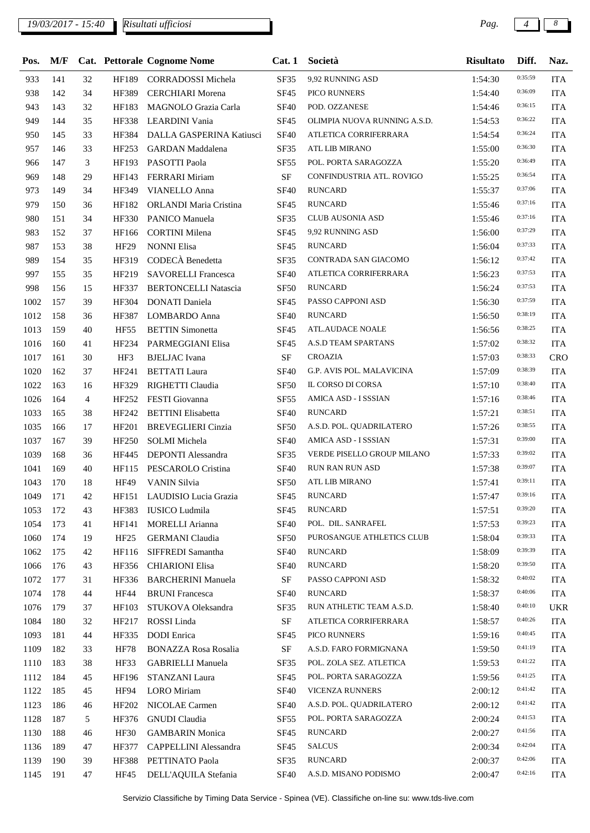## *19/03/2017 - 15:40 Pag. 4 8*

| Pos.     | M/F |          |                  | <b>Cat. Pettorale Cognome Nome</b> | Cat.1            | Società                      | <b>Risultato</b> | Diff.   | Naz.       |
|----------|-----|----------|------------------|------------------------------------|------------------|------------------------------|------------------|---------|------------|
| 933      | 141 | 32       | HF189            | <b>CORRADOSSI</b> Michela          | SF35             | 9,92 RUNNING ASD             | 1:54:30          | 0:35:59 | <b>ITA</b> |
| 938      | 142 | 34       | HF389            | <b>CERCHIARI</b> Morena            | <b>SF45</b>      | <b>PICO RUNNERS</b>          | 1:54:40          | 0:36:09 | <b>ITA</b> |
| 943      | 143 | 32       | HF183            | MAGNOLO Grazia Carla               | <b>SF40</b>      | POD. OZZANESE                | 1:54:46          | 0:36:15 | <b>ITA</b> |
| 949      | 144 | 35       | HF338            | LEARDINI Vania                     | SF45             | OLIMPIA NUOVA RUNNING A.S.D. | 1:54:53          | 0:36:22 | <b>ITA</b> |
| 950      | 145 | 33       | HF384            | DALLA GASPERINA Katiusci           | <b>SF40</b>      | ATLETICA CORRIFERRARA        | 1:54:54          | 0:36:24 | <b>ITA</b> |
| 957      | 146 | 33       | HF253            | <b>GARDAN</b> Maddalena            | SF35             | <b>ATL LIB MIRANO</b>        | 1:55:00          | 0:36:30 | <b>ITA</b> |
| 966      | 147 | 3        | HF193            | PASOTTI Paola                      | <b>SF55</b>      | POL. PORTA SARAGOZZA         | 1:55:20          | 0:36:49 | <b>ITA</b> |
| 969      | 148 | 29       | HF143            | <b>FERRARI</b> Miriam              | $\rm SF$         | CONFINDUSTRIA ATL. ROVIGO    | 1:55:25          | 0:36:54 | <b>ITA</b> |
| 973      | 149 | 34       | HF349            | <b>VIANELLO Anna</b>               | <b>SF40</b>      | <b>RUNCARD</b>               | 1:55:37          | 0:37:06 | <b>ITA</b> |
| 979      | 150 | 36       | HF182            | ORLANDI Maria Cristina             | <b>SF45</b>      | <b>RUNCARD</b>               | 1:55:46          | 0:37:16 | <b>ITA</b> |
| 980      | 151 | 34       | HF330            | PANICO Manuela                     | SF35             | CLUB AUSONIA ASD             | 1:55:46          | 0:37:16 | <b>ITA</b> |
| 983      | 152 | 37       | HF166            | <b>CORTINI</b> Milena              | SF45             | 9,92 RUNNING ASD             | 1:56:00          | 0:37:29 | <b>ITA</b> |
| 987      | 153 | 38       | <b>HF29</b>      | <b>NONNI Elisa</b>                 | <b>SF45</b>      | <b>RUNCARD</b>               | 1:56:04          | 0:37:33 | <b>ITA</b> |
| 989      | 154 | 35       | HF319            | CODECÀ Benedetta                   | SF35             | CONTRADA SAN GIACOMO         | 1:56:12          | 0:37:42 | <b>ITA</b> |
| 997      | 155 | 35       | HF219            | <b>SAVORELLI Francesca</b>         | <b>SF40</b>      | ATLETICA CORRIFERRARA        | 1:56:23          | 0:37:53 | <b>ITA</b> |
| 998      | 156 | 15       | HF337            | <b>BERTONCELLI Natascia</b>        | <b>SF50</b>      | <b>RUNCARD</b>               | 1:56:24          | 0:37:53 | <b>ITA</b> |
| 1002     | 157 | 39       | HF304            | DONATI Daniela                     | <b>SF45</b>      | PASSO CAPPONI ASD            | 1:56:30          | 0:37:59 | <b>ITA</b> |
| 1012     | 158 | 36       | HF387            | LOMBARDO Anna                      | <b>SF40</b>      | <b>RUNCARD</b>               | 1:56:50          | 0:38:19 | <b>ITA</b> |
| 1013     | 159 | 40       | <b>HF55</b>      | <b>BETTIN</b> Simonetta            | <b>SF45</b>      | <b>ATL.AUDACE NOALE</b>      | 1:56:56          | 0:38:25 | <b>ITA</b> |
| 1016     | 160 | 41       | HF234            | PARMEGGIANI Elisa                  | <b>SF45</b>      | A.S.D TEAM SPARTANS          | 1:57:02          | 0:38:32 | <b>ITA</b> |
| 1017     | 161 | 30       | HF3              | <b>BJELJAC</b> Ivana               | $\rm{SF}$        | <b>CROAZIA</b>               | 1:57:03          | 0:38:33 | CRO        |
|          | 162 |          |                  |                                    | <b>SF40</b>      | G.P. AVIS POL. MALAVICINA    |                  | 0:38:39 | <b>ITA</b> |
| 1020     | 163 | 37<br>16 | HF241            | <b>BETTATI</b> Laura               |                  | IL CORSO DI CORSA            | 1:57:09          | 0:38:40 | <b>ITA</b> |
| 1022     |     |          | HF329            | RIGHETTI Claudia                   | SF <sub>50</sub> | AMICA ASD - I SSSIAN         | 1:57:10          | 0:38:46 |            |
| 1026     | 164 | 4        | HF252            | FESTI Giovanna                     | <b>SF55</b>      |                              | 1:57:16          | 0:38:51 | <b>ITA</b> |
| 1033     | 165 | 38       | HF242            | <b>BETTINI</b> Elisabetta          | <b>SF40</b>      | <b>RUNCARD</b>               | 1:57:21          | 0:38:55 | <b>ITA</b> |
| 1035     | 166 | 17       | HF201            | <b>BREVEGLIERI</b> Cinzia          | SF <sub>50</sub> | A.S.D. POL. QUADRILATERO     | 1:57:26          | 0:39:00 | <b>ITA</b> |
| 1037     | 167 | 39       | HF250            | <b>SOLMI</b> Michela               | <b>SF40</b>      | AMICA ASD - I SSSIAN         | 1:57:31          | 0:39:02 | <b>ITA</b> |
| 1039     | 168 | 36       | HF445            | <b>DEPONTI Alessandra</b>          | SF35             | VERDE PISELLO GROUP MILANO   | 1:57:33          |         | <b>ITA</b> |
| 1041     | 169 | 40       | HF115            | PESCAROLO Cristina                 | <b>SF40</b>      | <b>RUN RAN RUN ASD</b>       | 1:57:38          | 0:39:07 | <b>ITA</b> |
| 1043     | 170 | 18       | <b>HF49</b>      | <b>VANIN Silvia</b>                | <b>SF50</b>      | ATL LIB MIRANO               | 1:57:41          | 0:39:11 | <b>ITA</b> |
| 1049 171 |     | 42       |                  | HF151 LAUDISIO Lucia Grazia        |                  | SF45 RUNCARD                 | 1:57:47          | 0:39:16 | <b>ITA</b> |
| 1053     | 172 | 43       | HF383            | IUSICO Ludmila                     | <b>SF45</b>      | <b>RUNCARD</b>               | 1:57:51          | 0:39:20 | <b>ITA</b> |
| 1054     | 173 | 41       | HF141            | <b>MORELLI Arianna</b>             | <b>SF40</b>      | POL. DIL. SANRAFEL           | 1:57:53          | 0:39:23 | <b>ITA</b> |
| 1060     | 174 | 19       | HF <sub>25</sub> | <b>GERMANI</b> Claudia             | <b>SF50</b>      | PUROSANGUE ATHLETICS CLUB    | 1:58:04          | 0:39:33 | <b>ITA</b> |
| 1062     | 175 | 42       | HF116            | SIFFREDI Samantha                  | <b>SF40</b>      | <b>RUNCARD</b>               | 1:58:09          | 0:39:39 | <b>ITA</b> |
| 1066     | 176 | 43       | HF356            | <b>CHIARIONI Elisa</b>             | <b>SF40</b>      | <b>RUNCARD</b>               | 1:58:20          | 0:39:50 | <b>ITA</b> |
| 1072     | 177 | 31       | HF336            | <b>BARCHERINI Manuela</b>          | $\rm{SF}$        | PASSO CAPPONI ASD            | 1:58:32          | 0:40:02 | <b>ITA</b> |
| 1074     | 178 | 44       | HF44             | <b>BRUNI</b> Francesca             | <b>SF40</b>      | <b>RUNCARD</b>               | 1:58:37          | 0:40:06 | <b>ITA</b> |
| 1076     | 179 | 37       | HF103            | STUKOVA Oleksandra                 | <b>SF35</b>      | RUN ATHLETIC TEAM A.S.D.     | 1:58:40          | 0:40:10 | <b>UKR</b> |
| 1084     | 180 | 32       | HF217            | ROSSI Linda                        | SF               | ATLETICA CORRIFERRARA        | 1:58:57          | 0:40:26 | <b>ITA</b> |
| 1093     | 181 | 44       | HF335            | <b>DODI</b> Enrica                 | <b>SF45</b>      | PICO RUNNERS                 | 1:59:16          | 0:40:45 | <b>ITA</b> |
| 1109     | 182 | 33       | <b>HF78</b>      | <b>BONAZZA Rosa Rosalia</b>        | SF               | A.S.D. FARO FORMIGNANA       | 1:59:50          | 0:41:19 | <b>ITA</b> |
| 1110     | 183 | 38       | HF33             | <b>GABRIELLI Manuela</b>           | SF35             | POL. ZOLA SEZ. ATLETICA      | 1:59:53          | 0:41:22 | <b>ITA</b> |
| 1112     | 184 | 45       | HF196            | STANZANI Laura                     | <b>SF45</b>      | POL. PORTA SARAGOZZA         | 1:59:56          | 0:41:25 | <b>ITA</b> |
| 1122     | 185 | 45       | HF94             | <b>LORO</b> Miriam                 | <b>SF40</b>      | <b>VICENZA RUNNERS</b>       | 2:00:12          | 0:41:42 | <b>ITA</b> |
| 1123     | 186 | 46       | HF202            | NICOLAE Carmen                     | <b>SF40</b>      | A.S.D. POL. QUADRILATERO     | 2:00:12          | 0:41:42 | <b>ITA</b> |
| 1128     | 187 | 5        | HF376            | <b>GNUDI</b> Claudia               | <b>SF55</b>      | POL. PORTA SARAGOZZA         | 2:00:24          | 0:41:53 | <b>ITA</b> |
| 1130     | 188 | 46       | HF30             | <b>GAMBARIN</b> Monica             | <b>SF45</b>      | <b>RUNCARD</b>               | 2:00:27          | 0:41:56 | <b>ITA</b> |
| 1136     | 189 | 47       | HF377            | CAPPELLINI Alessandra              | SF <sub>45</sub> | <b>SALCUS</b>                | 2:00:34          | 0:42:04 | <b>ITA</b> |
| 1139     | 190 | 39       | HF388            | PETTINATO Paola                    | SF35             | <b>RUNCARD</b>               | 2:00:37          | 0:42:06 | <b>ITA</b> |
| 1145     | 191 | 47       | <b>HF45</b>      | DELL'AQUILA Stefania               | <b>SF40</b>      | A.S.D. MISANO PODISMO        | 2:00:47          | 0:42:16 | <b>ITA</b> |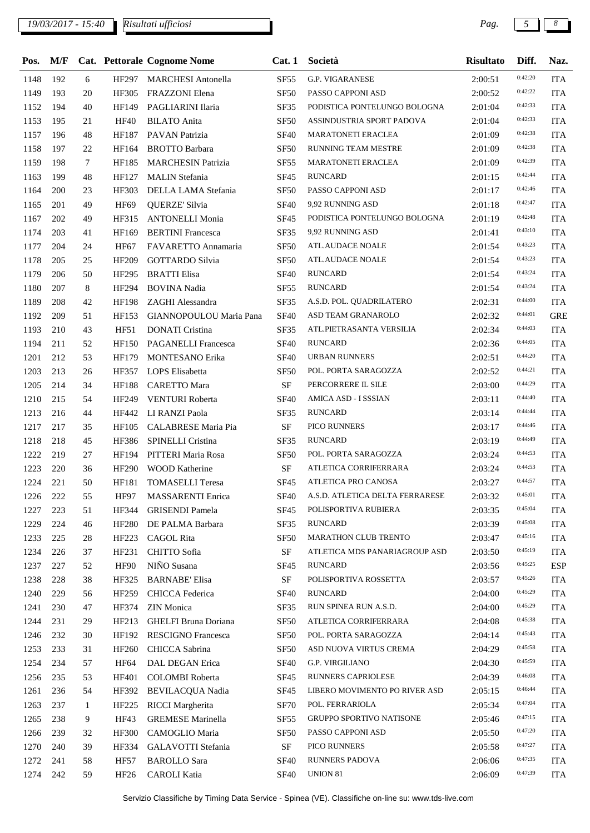$\overline{\phantom{a}}$ 

| Pos. |     |        |                  | M/F Cat. Pettorale Cognome Nome | Cat.1            | Società                              | <b>Risultato</b> | Diff.   | Naz.       |
|------|-----|--------|------------------|---------------------------------|------------------|--------------------------------------|------------------|---------|------------|
| 1148 | 192 | 6      | HF297            | <b>MARCHESI Antonella</b>       | <b>SF55</b>      | <b>G.P. VIGARANESE</b>               | 2:00:51          | 0:42:20 | <b>ITA</b> |
| 1149 | 193 | 20     | HF305            | <b>FRAZZONI Elena</b>           | <b>SF50</b>      | PASSO CAPPONI ASD                    | 2:00:52          | 0:42:22 | <b>ITA</b> |
| 1152 | 194 | 40     | HF149            | PAGLIARINI Ilaria               | SF35             | PODISTICA PONTELUNGO BOLOGNA         | 2:01:04          | 0:42:33 | <b>ITA</b> |
| 1153 | 195 | 21     | <b>HF40</b>      | <b>BILATO</b> Anita             | <b>SF50</b>      | ASSINDUSTRIA SPORT PADOVA            | 2:01:04          | 0:42:33 | <b>ITA</b> |
| 1157 | 196 | 48     | HF187            | PAVAN Patrizia                  | <b>SF40</b>      | <b>MARATONETI ERACLEA</b>            | 2:01:09          | 0:42:38 | <b>ITA</b> |
| 1158 | 197 | 22     | HF164            | <b>BROTTO Barbara</b>           | SF <sub>50</sub> | RUNNING TEAM MESTRE                  | 2:01:09          | 0:42:38 | <b>ITA</b> |
| 1159 | 198 | $\tau$ | HF185            | <b>MARCHESIN Patrizia</b>       | <b>SF55</b>      | MARATONETI ERACLEA                   | 2:01:09          | 0:42:39 | <b>ITA</b> |
| 1163 | 199 | 48     | HF127            | <b>MALIN</b> Stefania           | <b>SF45</b>      | <b>RUNCARD</b>                       | 2:01:15          | 0:42:44 | <b>ITA</b> |
| 1164 | 200 | 23     | HF303            | DELLA LAMA Stefania             | SF <sub>50</sub> | PASSO CAPPONI ASD                    | 2:01:17          | 0:42:46 | <b>ITA</b> |
| 1165 | 201 | 49     | <b>HF69</b>      | QUERZE' Silvia                  | <b>SF40</b>      | 9,92 RUNNING ASD                     | 2:01:18          | 0:42:47 | <b>ITA</b> |
| 1167 | 202 | 49     | HF315            | <b>ANTONELLI Monia</b>          | <b>SF45</b>      | PODISTICA PONTELUNGO BOLOGNA         | 2:01:19          | 0:42:48 | <b>ITA</b> |
| 1174 | 203 | 41     | HF169            | <b>BERTINI</b> Francesca        | SF35             | 9,92 RUNNING ASD                     | 2:01:41          | 0:43:10 | <b>ITA</b> |
| 1177 | 204 | 24     | <b>HF67</b>      | FAVARETTO Annamaria             | SF <sub>50</sub> | ATL.AUDACE NOALE                     | 2:01:54          | 0:43:23 | <b>ITA</b> |
| 1178 | 205 | 25     | HF209            | <b>GOTTARDO Silvia</b>          | <b>SF50</b>      | <b>ATL.AUDACE NOALE</b>              | 2:01:54          | 0:43:23 | <b>ITA</b> |
| 1179 | 206 | 50     | HF295            | <b>BRATTI</b> Elisa             | <b>SF40</b>      | <b>RUNCARD</b>                       | 2:01:54          | 0:43:24 | <b>ITA</b> |
| 1180 | 207 | 8      | HF294            | <b>BOVINA</b> Nadia             | <b>SF55</b>      | <b>RUNCARD</b>                       | 2:01:54          | 0:43:24 | <b>ITA</b> |
| 1189 | 208 | 42     | <b>HF198</b>     | ZAGHI Alessandra                | SF35             | A.S.D. POL. QUADRILATERO             | 2:02:31          | 0:44:00 | <b>ITA</b> |
| 1192 | 209 | 51     | HF153            | GIANNOPOULOU Maria Pana         | <b>SF40</b>      | ASD TEAM GRANAROLO                   | 2:02:32          | 0:44:01 | <b>GRE</b> |
| 1193 | 210 | 43     | HF51             | <b>DONATI</b> Cristina          | SF35             | ATL.PIETRASANTA VERSILIA             | 2:02:34          | 0:44:03 | <b>ITA</b> |
| 1194 | 211 | 52     | <b>HF150</b>     | <b>PAGANELLI Francesca</b>      | <b>SF40</b>      | <b>RUNCARD</b>                       | 2:02:36          | 0:44:05 | <b>ITA</b> |
| 1201 | 212 | 53     | HF179            | <b>MONTESANO Erika</b>          | <b>SF40</b>      | URBAN RUNNERS                        | 2:02:51          | 0:44:20 | <b>ITA</b> |
| 1203 | 213 | 26     |                  | HF357 LOPS Elisabetta           | <b>SF50</b>      | POL. PORTA SARAGOZZA                 | 2:02:52          | 0:44:21 | <b>ITA</b> |
| 1205 | 214 | 34     | <b>HF188</b>     | <b>CARETTO Mara</b>             | $\rm SF$         | PERCORRERE IL SILE                   | 2:03:00          | 0:44:29 | <b>ITA</b> |
| 1210 | 215 | 54     | HF249            | VENTURI Roberta                 | <b>SF40</b>      | AMICA ASD - I SSSIAN                 | 2:03:11          | 0:44:40 | <b>ITA</b> |
| 1213 | 216 | 44     | HF442            | LI RANZI Paola                  | SF35             | <b>RUNCARD</b>                       | 2:03:14          | 0:44:44 | <b>ITA</b> |
| 1217 | 217 | 35     |                  | HF105 CALABRESE Maria Pia       | $\rm{SF}$        | PICO RUNNERS                         | 2:03:17          | 0:44:46 | <b>ITA</b> |
| 1218 | 218 | 45     | HF386            | SPINELLI Cristina               | SF35             | <b>RUNCARD</b>                       | 2:03:19          | 0:44:49 | <b>ITA</b> |
| 1222 | 219 | 27     | HF194            | PITTERI Maria Rosa              | <b>SF50</b>      | POL. PORTA SARAGOZZA                 | 2:03:24          | 0:44:53 | <b>ITA</b> |
| 1223 | 220 | 36     | HF290            | <b>WOOD Katherine</b>           | $\rm SF$         | ATLETICA CORRIFERRARA                | 2:03:24          | 0:44:53 | <b>ITA</b> |
| 1224 | 221 | 50     | HF181            | <b>TOMASELLI Teresa</b>         | SF45             | ATLETICA PRO CANOSA                  | 2:03:27          | 0:44:57 | <b>ITA</b> |
| 1226 | 222 | 55     | <b>HF97</b>      | MASSARENTI Enrica               |                  | SF40 A.S.D. ATLETICA DELTA FERRARESE | 2:03:32          | 0:45:01 | <b>ITA</b> |
| 1227 | 223 | 51     |                  | HF344 GRISENDI Pamela           | SF45             | POLISPORTIVA RUBIERA                 | 2:03:35          | 0:45:04 | <b>ITA</b> |
| 1229 | 224 | 46     | <b>HF280</b>     | DE PALMA Barbara                | SF35             | RUNCARD                              | 2:03:39          | 0:45:08 | <b>ITA</b> |
| 1233 | 225 | 28     | HF223            | CAGOL Rita                      | <b>SF50</b>      | MARATHON CLUB TRENTO                 | 2:03:47          | 0:45:16 | <b>ITA</b> |
| 1234 | 226 | 37     | HF231            | CHITTO Sofia                    | SF               | ATLETICA MDS PANARIAGROUP ASD        | 2:03:50          | 0:45:19 | <b>ITA</b> |
| 1237 | 227 | 52     | HF90             | NIÑO Susana                     | <b>SF45</b>      | <b>RUNCARD</b>                       | 2:03:56          | 0:45:25 | <b>ESP</b> |
| 1238 | 228 | 38     | HF325            | <b>BARNABE' Elisa</b>           | $\rm SF$         | POLISPORTIVA ROSSETTA                | 2:03:57          | 0:45:26 | <b>ITA</b> |
| 1240 | 229 | 56     |                  | HF259 CHICCA Federica           | <b>SF40</b>      | <b>RUNCARD</b>                       | 2:04:00          | 0:45:29 | <b>ITA</b> |
| 1241 | 230 | 47     | HF374            | <b>ZIN</b> Monica               | SF35             | RUN SPINEA RUN A.S.D.                | 2:04:00          | 0:45:29 | <b>ITA</b> |
| 1244 | 231 | 29     | HF213            | GHELFI Bruna Doriana            | <b>SF50</b>      | ATLETICA CORRIFERRARA                | 2:04:08          | 0:45:38 | <b>ITA</b> |
| 1246 | 232 | 30     | HF192            | <b>RESCIGNO Francesca</b>       | SF <sub>50</sub> | POL. PORTA SARAGOZZA                 | 2:04:14          | 0:45:43 | <b>ITA</b> |
| 1253 | 233 | 31     | HF260            | CHICCA Sabrina                  | SF <sub>50</sub> | ASD NUOVA VIRTUS CREMA               | 2:04:29          | 0:45:58 | <b>ITA</b> |
| 1254 | 234 | 57     | <b>HF64</b>      | DAL DEGAN Erica                 | <b>SF40</b>      | G.P. VIRGILIANO                      | 2:04:30          | 0:45:59 | <b>ITA</b> |
| 1256 | 235 | 53     | HF401            | <b>COLOMBI Roberta</b>          | <b>SF45</b>      | RUNNERS CAPRIOLESE                   | 2:04:39          | 0:46:08 | <b>ITA</b> |
| 1261 | 236 | 54     | HF392            | BEVILACQUA Nadia                | <b>SF45</b>      | LIBERO MOVIMENTO PO RIVER ASD        | 2:05:15          | 0:46:44 | <b>ITA</b> |
| 1263 | 237 | 1      | HF225            | RICCI Margherita                | <b>SF70</b>      | POL. FERRARIOLA                      | 2:05:34          | 0:47:04 | <b>ITA</b> |
| 1265 | 238 | 9      | HF43             | <b>GREMESE</b> Marinella        | SF <sub>55</sub> | <b>GRUPPO SPORTIVO NATISONE</b>      | 2:05:46          | 0:47:15 | <b>ITA</b> |
| 1266 | 239 | 32     | HF300            | CAMOGLIO Maria                  | <b>SF50</b>      | PASSO CAPPONI ASD                    | 2:05:50          | 0:47:20 | <b>ITA</b> |
| 1270 | 240 | 39     | HF334            | GALAVOTTI Stefania              | $\rm{SF}$        | PICO RUNNERS                         | 2:05:58          | 0:47:27 | <b>ITA</b> |
| 1272 | 241 | 58     | <b>HF57</b>      | <b>BAROLLO</b> Sara             | <b>SF40</b>      | <b>RUNNERS PADOVA</b>                | 2:06:06          | 0:47:35 | <b>ITA</b> |
| 1274 | 242 | 59     | HF <sub>26</sub> | <b>CAROLI</b> Katia             | <b>SF40</b>      | UNION 81                             | 2:06:09          | 0:47:39 | <b>ITA</b> |
|      |     |        |                  |                                 |                  |                                      |                  |         |            |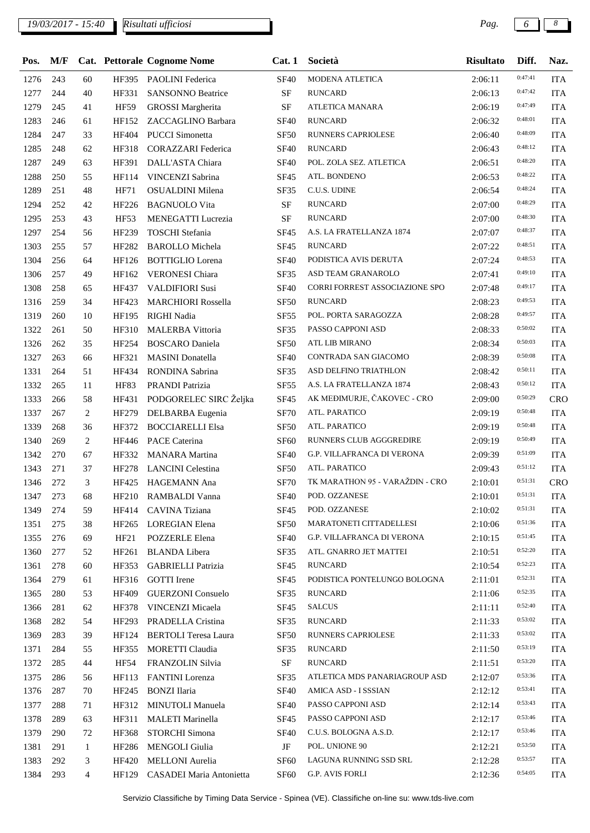## *19/03/2017 - 15:40 Pag. 6 8*

| Pos. | M/F |                |             | Cat. Pettorale Cognome Nome  | Cat.1            | Società                           | <b>Risultato</b> | Diff.   | Naz.       |
|------|-----|----------------|-------------|------------------------------|------------------|-----------------------------------|------------------|---------|------------|
| 1276 | 243 | 60             |             | HF395 PAOLINI Federica       | <b>SF40</b>      | MODENA ATLETICA                   | 2:06:11          | 0:47:41 | <b>ITA</b> |
| 1277 | 244 | 40             | HF331       | <b>SANSONNO Beatrice</b>     | $\rm SF$         | <b>RUNCARD</b>                    | 2:06:13          | 0:47:42 | <b>ITA</b> |
| 1279 | 245 | 41             | <b>HF59</b> | <b>GROSSI</b> Margherita     | <b>SF</b>        | ATLETICA MANARA                   | 2:06:19          | 0:47:49 | <b>ITA</b> |
| 1283 | 246 | 61             | HF152       | ZACCAGLINO Barbara           | <b>SF40</b>      | <b>RUNCARD</b>                    | 2:06:32          | 0:48:01 | <b>ITA</b> |
| 1284 | 247 | 33             | HF404       | <b>PUCCI</b> Simonetta       | <b>SF50</b>      | RUNNERS CAPRIOLESE                | 2:06:40          | 0:48:09 | <b>ITA</b> |
| 1285 | 248 | 62             | HF318       | <b>CORAZZARI</b> Federica    | <b>SF40</b>      | <b>RUNCARD</b>                    | 2:06:43          | 0:48:12 | <b>ITA</b> |
| 1287 | 249 | 63             | HF391       | DALL'ASTA Chiara             | <b>SF40</b>      | POL. ZOLA SEZ. ATLETICA           | 2:06:51          | 0:48:20 | <b>ITA</b> |
| 1288 | 250 | 55             | HF114       | VINCENZI Sabrina             | <b>SF45</b>      | ATL. BONDENO                      | 2:06:53          | 0:48:22 | <b>ITA</b> |
| 1289 | 251 | 48             | HF71        | OSUALDINI Milena             | <b>SF35</b>      | C.U.S. UDINE                      | 2:06:54          | 0:48:24 | <b>ITA</b> |
| 1294 | 252 | 42             | HF226       | <b>BAGNUOLO Vita</b>         | $\rm SF$         | <b>RUNCARD</b>                    | 2:07:00          | 0:48:29 | <b>ITA</b> |
| 1295 | 253 | 43             | <b>HF53</b> | MENEGATTI Lucrezia           | <b>SF</b>        | <b>RUNCARD</b>                    | 2:07:00          | 0:48:30 | <b>ITA</b> |
| 1297 | 254 | 56             | HF239       | <b>TOSCHI</b> Stefania       | <b>SF45</b>      | A.S. LA FRATELLANZA 1874          | 2:07:07          | 0:48:37 | <b>ITA</b> |
| 1303 | 255 | 57             | HF282       | <b>BAROLLO</b> Michela       | SF45             | <b>RUNCARD</b>                    | 2:07:22          | 0:48:51 | <b>ITA</b> |
| 1304 | 256 | 64             | HF126       | <b>BOTTIGLIO</b> Lorena      | <b>SF40</b>      | PODISTICA AVIS DERUTA             | 2:07:24          | 0:48:53 | <b>ITA</b> |
| 1306 | 257 | 49             | HF162       | <b>VERONESI Chiara</b>       | <b>SF35</b>      | ASD TEAM GRANAROLO                | 2:07:41          | 0:49:10 | <b>ITA</b> |
| 1308 | 258 | 65             | HF437       | <b>VALDIFIORI Susi</b>       | <b>SF40</b>      | CORRI FORREST ASSOCIAZIONE SPO    | 2:07:48          | 0:49:17 | <b>ITA</b> |
| 1316 | 259 | 34             | HF423       | <b>MARCHIORI Rossella</b>    | SF <sub>50</sub> | <b>RUNCARD</b>                    | 2:08:23          | 0:49:53 | <b>ITA</b> |
| 1319 | 260 | 10             | HF195       | RIGHI Nadia                  | SF <sub>55</sub> | POL. PORTA SARAGOZZA              | 2:08:28          | 0:49:57 | <b>ITA</b> |
| 1322 | 261 | 50             | HF310       | MALERBA Vittoria             | SF35             | PASSO CAPPONI ASD                 | 2:08:33          | 0:50:02 | <b>ITA</b> |
| 1326 | 262 | 35             | HF254       | <b>BOSCARO</b> Daniela       | <b>SF50</b>      | ATL LIB MIRANO                    | 2:08:34          | 0:50:03 | <b>ITA</b> |
| 1327 | 263 | 66             | HF321       | <b>MASINI</b> Donatella      | <b>SF40</b>      | CONTRADA SAN GIACOMO              | 2:08:39          | 0:50:08 | <b>ITA</b> |
| 1331 | 264 | 51             | HF434       | RONDINA Sabrina              | SF35             | ASD DELFINO TRIATHLON             | 2:08:42          | 0:50:11 | <b>ITA</b> |
| 1332 | 265 | 11             | <b>HF83</b> | PRANDI Patrizia              | SF <sub>55</sub> | A.S. LA FRATELLANZA 1874          | 2:08:43          | 0:50:12 | <b>ITA</b> |
| 1333 | 266 | 58             |             | HF431 PODGORELEC SIRC Željka | SF <sub>45</sub> | AK MEĐIMURJE, ČAKOVEC - CRO       | 2:09:00          | 0:50:29 | CRO        |
| 1337 | 267 | 2              | HF279       | DELBARBA Eugenia             | <b>SF70</b>      | ATL. PARATICO                     | 2:09:19          | 0:50:48 | <b>ITA</b> |
| 1339 | 268 | 36             | HF372       | <b>BOCCIARELLI Elsa</b>      | <b>SF50</b>      | ATL. PARATICO                     | 2:09:19          | 0:50:48 | <b>ITA</b> |
| 1340 | 269 | 2              | HF446       | <b>PACE Caterina</b>         | SF <sub>60</sub> | RUNNERS CLUB AGGGREDIRE           | 2:09:19          | 0:50:49 | <b>ITA</b> |
| 1342 | 270 | 67             | HF332       | <b>MANARA</b> Martina        | <b>SF40</b>      | G.P. VILLAFRANCA DI VERONA        | 2:09:39          | 0:51:09 | <b>ITA</b> |
| 1343 | 271 | 37             | HF278       | <b>LANCINI</b> Celestina     | SF <sub>50</sub> | ATL. PARATICO                     | 2:09:43          | 0:51:12 | <b>ITA</b> |
| 1346 | 272 | 3              | HF425       | HAGEMANN Ana                 | <b>SF70</b>      | TK MARATHON 95 - VARAŽDIN - CRO   | 2:10:01          | 0:51:31 | <b>CRO</b> |
| 1347 | 273 | 68             |             | HF210 RAMBALDI Vanna         | <b>SF40</b>      | POD. OZZANESE                     | 2:10:01          | 0:51:31 | <b>ITA</b> |
| 1349 | 274 | 59             |             | HF414 CAVINA Tiziana         | <b>SF45</b>      | POD. OZZANESE                     | 2:10:02          | 0:51:31 | <b>ITA</b> |
| 1351 | 275 | 38             | HF265       | LOREGIAN Elena               | SF <sub>50</sub> | MARATONETI CITTADELLESI           | 2:10:06          | 0:51:36 | <b>ITA</b> |
| 1355 | 276 | 69             | HF21        | <b>POZZERLE Elena</b>        | <b>SF40</b>      | <b>G.P. VILLAFRANCA DI VERONA</b> | 2:10:15          | 0:51:45 | <b>ITA</b> |
| 1360 | 277 | 52             | HF261       | <b>BLANDA</b> Libera         | SF35             | ATL. GNARRO JET MATTEI            | 2:10:51          | 0:52:20 | <b>ITA</b> |
| 1361 | 278 | 60             | HF353       | <b>GABRIELLI Patrizia</b>    | SF45             | <b>RUNCARD</b>                    | 2:10:54          | 0:52:23 | <b>ITA</b> |
| 1364 | 279 | 61             | HF316       | <b>GOTTI</b> Irene           | <b>SF45</b>      | PODISTICA PONTELUNGO BOLOGNA      | 2:11:01          | 0:52:31 | <b>ITA</b> |
| 1365 | 280 | 53             | HF409       | <b>GUERZONI</b> Consuelo     | SF35             | RUNCARD                           | 2:11:06          | 0:52:35 | <b>ITA</b> |
| 1366 | 281 | 62             | HF378       | VINCENZI Micaela             | SF45             | <b>SALCUS</b>                     | 2:11:11          | 0:52:40 | <b>ITA</b> |
| 1368 | 282 | 54             | HF293       | PRADELLA Cristina            | SF35             | <b>RUNCARD</b>                    | 2:11:33          | 0:53:02 | <b>ITA</b> |
| 1369 | 283 | 39             | HF124       | <b>BERTOLI</b> Teresa Laura  | SF <sub>50</sub> | RUNNERS CAPRIOLESE                | 2:11:33          | 0:53:02 | <b>ITA</b> |
| 1371 | 284 | 55             | HF355       | MORETTI Claudia              | SF35             | <b>RUNCARD</b>                    | 2:11:50          | 0:53:19 | <b>ITA</b> |
| 1372 | 285 | 44             | HF54        | FRANZOLIN Silvia             | $\rm SF$         | <b>RUNCARD</b>                    | 2:11:51          | 0:53:20 | <b>ITA</b> |
| 1375 | 286 | 56             | HF113       | <b>FANTINI</b> Lorenza       | SF35             | ATLETICA MDS PANARIAGROUP ASD     | 2:12:07          | 0:53:36 | <b>ITA</b> |
| 1376 | 287 | 70             | HF245       | <b>BONZI</b> Ilaria          | <b>SF40</b>      | AMICA ASD - I SSSIAN              | 2:12:12          | 0:53:41 | <b>ITA</b> |
| 1377 | 288 | 71             | HF312       | MINUTOLI Manuela             | <b>SF40</b>      | PASSO CAPPONI ASD                 | 2:12:14          | 0:53:43 | <b>ITA</b> |
| 1378 | 289 | 63             | HF311       | <b>MALETI Marinella</b>      | <b>SF45</b>      | PASSO CAPPONI ASD                 | 2:12:17          | 0:53:46 | <b>ITA</b> |
| 1379 | 290 | 72             | HF368       | STORCHI Simona               | <b>SF40</b>      | C.U.S. BOLOGNA A.S.D.             | 2:12:17          | 0:53:46 | <b>ITA</b> |
| 1381 | 291 | $\mathbf{1}$   | HF286       | MENGOLI Giulia               | JF               | POL. UNIONE 90                    | 2:12:21          | 0:53:50 | <b>ITA</b> |
| 1383 | 292 | 3              | HF420       | MELLONI Aurelia              | SF <sub>60</sub> | LAGUNA RUNNING SSD SRL            | 2:12:28          | 0:53:57 | <b>ITA</b> |
| 1384 | 293 | $\overline{4}$ | HF129       | CASADEI Maria Antonietta     | <b>SF60</b>      | G.P. AVIS FORLI                   | 2:12:36          | 0:54:05 | <b>ITA</b> |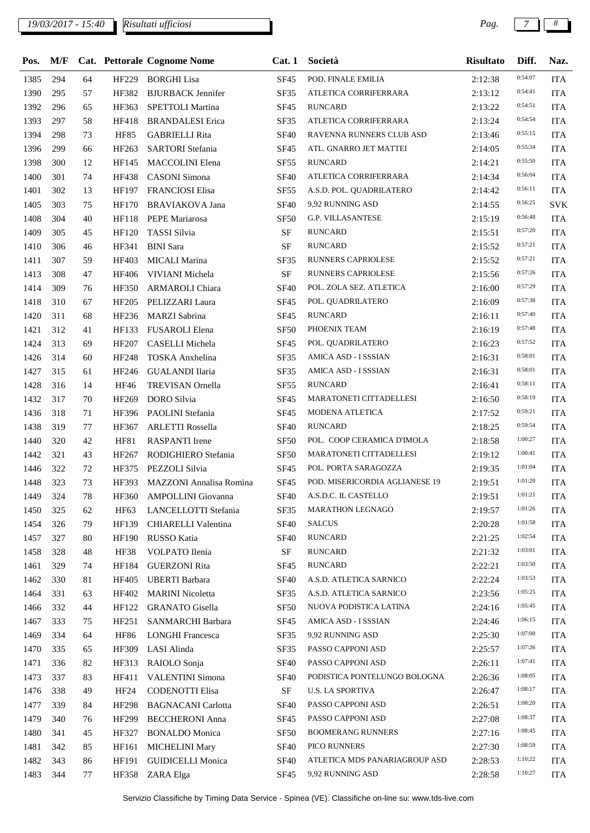| Pos. | M/F |    |              | Cat. Pettorale Cognome Nome | Cat.1            | Società                        | Risultato | Diff.   | Naz.       |
|------|-----|----|--------------|-----------------------------|------------------|--------------------------------|-----------|---------|------------|
| 1385 | 294 | 64 | HF229        | <b>BORGHI Lisa</b>          | <b>SF45</b>      | POD. FINALE EMILIA             | 2:12:38   | 0:54:07 | <b>ITA</b> |
| 1390 | 295 | 57 | HF382        | <b>BJURBACK Jennifer</b>    | SF35             | ATLETICA CORRIFERRARA          | 2:13:12   | 0:54:41 | <b>ITA</b> |
| 1392 | 296 | 65 | HF363        | <b>SPETTOLI Martina</b>     | SF45             | <b>RUNCARD</b>                 | 2:13:22   | 0:54:51 | <b>ITA</b> |
| 1393 | 297 | 58 | HF418        | <b>BRANDALESI</b> Erica     | SF35             | ATLETICA CORRIFERRARA          | 2:13:24   | 0:54:54 | <b>ITA</b> |
| 1394 | 298 | 73 | HF85         | <b>GABRIELLI Rita</b>       | <b>SF40</b>      | RAVENNA RUNNERS CLUB ASD       | 2:13:46   | 0:55:15 | <b>ITA</b> |
| 1396 | 299 | 66 | HF263        | <b>SARTORI</b> Stefania     | <b>SF45</b>      | ATL. GNARRO JET MATTEI         | 2:14:05   | 0:55:34 | <b>ITA</b> |
| 1398 | 300 | 12 | HF145        | MACCOLINI Elena             | <b>SF55</b>      | <b>RUNCARD</b>                 | 2:14:21   | 0:55:50 | <b>ITA</b> |
| 1400 | 301 | 74 | HF438        | <b>CASONI</b> Simona        | <b>SF40</b>      | ATLETICA CORRIFERRARA          | 2:14:34   | 0:56:04 | <b>ITA</b> |
| 1401 | 302 | 13 | HF197        | <b>FRANCIOSI Elisa</b>      | <b>SF55</b>      | A.S.D. POL. QUADRILATERO       | 2:14:42   | 0:56:11 | <b>ITA</b> |
| 1405 | 303 | 75 | HF170        | <b>BRAVIAKOVA Jana</b>      | <b>SF40</b>      | 9,92 RUNNING ASD               | 2:14:55   | 0:56:25 | <b>SVK</b> |
| 1408 | 304 | 40 | HF118        | PEPE Mariarosa              | <b>SF50</b>      | <b>G.P. VILLASANTESE</b>       | 2:15:19   | 0:56:48 | <b>ITA</b> |
| 1409 | 305 | 45 | HF120        | TASSI Silvia                | $\rm SF$         | <b>RUNCARD</b>                 | 2:15:51   | 0:57:20 | <b>ITA</b> |
| 1410 | 306 | 46 | HF341        | <b>BINI</b> Sara            | <b>SF</b>        | <b>RUNCARD</b>                 | 2:15:52   | 0:57:21 | <b>ITA</b> |
| 1411 | 307 | 59 | HF403        | MICALI Marina               | <b>SF35</b>      | RUNNERS CAPRIOLESE             | 2:15:52   | 0:57:21 | <b>ITA</b> |
| 1413 | 308 | 47 | <b>HF406</b> | VIVIANI Michela             | <b>SF</b>        | RUNNERS CAPRIOLESE             | 2:15:56   | 0:57:26 | <b>ITA</b> |
| 1414 | 309 | 76 | HF350        | ARMAROLI Chiara             | <b>SF40</b>      | POL. ZOLA SEZ. ATLETICA        | 2:16:00   | 0:57:29 | <b>ITA</b> |
| 1418 | 310 | 67 | HF205        | PELIZZARI Laura             | <b>SF45</b>      | POL. QUADRILATERO              | 2:16:09   | 0:57:38 | <b>ITA</b> |
| 1420 | 311 | 68 | HF236        | <b>MARZI</b> Sabrina        | <b>SF45</b>      | <b>RUNCARD</b>                 | 2:16:11   | 0:57:40 | <b>ITA</b> |
| 1421 | 312 | 41 | HF133        | FUSAROLI Elena              | <b>SF50</b>      | PHOENIX TEAM                   | 2:16:19   | 0:57:48 | <b>ITA</b> |
| 1424 | 313 | 69 | HF207        | CASELLI Michela             | <b>SF45</b>      | POL. QUADRILATERO              | 2:16:23   | 0:57:52 | <b>ITA</b> |
| 1426 | 314 | 60 | HF248        | TOSKA Anxhelina             | SF35             | AMICA ASD - I SSSIAN           | 2:16:31   | 0:58:01 | <b>ITA</b> |
| 1427 | 315 | 61 | HF246        | <b>GUALANDI Ilaria</b>      | SF35             | AMICA ASD - I SSSIAN           | 2:16:31   | 0:58:01 | <b>ITA</b> |
| 1428 | 316 | 14 | HF46         | <b>TREVISAN</b> Ornella     | SF <sub>55</sub> | <b>RUNCARD</b>                 | 2:16:41   | 0:58:11 | <b>ITA</b> |
| 1432 | 317 | 70 | HF269        | DORO Silvia                 | <b>SF45</b>      | MARATONETI CITTADELLESI        | 2:16:50   | 0:58:19 | <b>ITA</b> |
| 1436 | 318 | 71 | HF396        | PAOLINI Stefania            | <b>SF45</b>      | MODENA ATLETICA                | 2:17:52   | 0:59:21 | <b>ITA</b> |
| 1438 | 319 | 77 | HF367        | <b>ARLETTI Rossella</b>     | <b>SF40</b>      | <b>RUNCARD</b>                 | 2:18:25   | 0:59:54 | <b>ITA</b> |
| 1440 | 320 | 42 | <b>HF81</b>  | <b>RASPANTI</b> Irene       | <b>SF50</b>      | POL. COOP CERAMICA D'IMOLA     | 2:18:58   | 1:00:27 | <b>ITA</b> |
| 1442 | 321 | 43 | HF267        | RODIGHIERO Stefania         | <b>SF50</b>      | MARATONETI CITTADELLESI        | 2:19:12   | 1:00:41 | <b>ITA</b> |
| 1446 | 322 | 72 | HF375        | PEZZOLI Silvia              | SF <sub>45</sub> | POL. PORTA SARAGOZZA           | 2:19:35   | 1:01:04 | <b>ITA</b> |
| 1448 | 323 | 73 | HF393        | MAZZONI Annalisa Romina     | <b>SF45</b>      | POD. MISERICORDIA AGLIANESE 19 | 2:19:51   | 1:01:20 | <b>ITA</b> |
| 1449 | 324 | 78 |              | HF360 AMPOLLINI Giovanna    |                  | SF40 A.S.D.C. IL CASTELLO      | 2:19:51   | 1:01:21 | <b>ITA</b> |
| 1450 | 325 | 62 | HF63         | LANCELLOTTI Stefania        | SF35             | MARATHON LEGNAGO               | 2:19:57   | 1:01:26 | <b>ITA</b> |
| 1454 | 326 | 79 | HF139        | CHIARELLI Valentina         | <b>SF40</b>      | <b>SALCUS</b>                  | 2:20:28   | 1:01:58 | <b>ITA</b> |
| 1457 | 327 | 80 | HF190        | RUSSO Katia                 | <b>SF40</b>      | <b>RUNCARD</b>                 | 2:21:25   | 1:02:54 | <b>ITA</b> |
| 1458 | 328 | 48 | HF38         | VOLPATO Ilenia              | <b>SF</b>        | <b>RUNCARD</b>                 | 2:21:32   | 1:03:01 | <b>ITA</b> |
| 1461 | 329 | 74 | HF184        | <b>GUERZONI Rita</b>        | <b>SF45</b>      | <b>RUNCARD</b>                 | 2:22:21   | 1:03:50 | <b>ITA</b> |
| 1462 | 330 | 81 | HF405        | <b>UBERTI</b> Barbara       | <b>SF40</b>      | A.S.D. ATLETICA SARNICO        | 2:22:24   | 1:03:53 | <b>ITA</b> |
| 1464 | 331 | 63 | HF402        | <b>MARINI</b> Nicoletta     | SF35             | A.S.D. ATLETICA SARNICO        | 2:23:56   | 1:05:25 | <b>ITA</b> |
| 1466 | 332 | 44 | HF122        | <b>GRANATO</b> Gisella      | <b>SF50</b>      | NUOVA PODISTICA LATINA         | 2:24:16   | 1:05:45 | <b>ITA</b> |
| 1467 | 333 | 75 | HF251        | SANMARCHI Barbara           | <b>SF45</b>      | AMICA ASD - I SSSIAN           | 2:24:46   | 1:06:15 | <b>ITA</b> |
| 1469 | 334 | 64 | <b>HF86</b>  | <b>LONGHI Francesca</b>     | SF35             | 9,92 RUNNING ASD               | 2:25:30   | 1:07:00 | <b>ITA</b> |
| 1470 | 335 | 65 | HF309        | LASI Alinda                 | SF35             | PASSO CAPPONI ASD              | 2:25:57   | 1:07:26 | <b>ITA</b> |
| 1471 | 336 | 82 | HF313        | RAIOLO Sonja                | <b>SF40</b>      | PASSO CAPPONI ASD              | 2:26:11   | 1:07:41 | <b>ITA</b> |
| 1473 | 337 | 83 | HF411        | <b>VALENTINI Simona</b>     | <b>SF40</b>      | PODISTICA PONTELUNGO BOLOGNA   | 2:26:36   | 1:08:05 | <b>ITA</b> |
| 1476 | 338 | 49 | HF24         | <b>CODENOTTI Elisa</b>      | $\rm{SF}$        | <b>U.S. LA SPORTIVA</b>        | 2:26:47   | 1:08:17 | <b>ITA</b> |
| 1477 | 339 | 84 | HF298        | <b>BAGNACANI</b> Carlotta   | <b>SF40</b>      | PASSO CAPPONI ASD              | 2:26:51   | 1:08:20 | <b>ITA</b> |
| 1479 | 340 | 76 | HF299        | <b>BECCHERONI Anna</b>      | <b>SF45</b>      | PASSO CAPPONI ASD              | 2:27:08   | 1:08:37 | <b>ITA</b> |
| 1480 | 341 | 45 | HF327        | <b>BONALDO</b> Monica       | <b>SF50</b>      | <b>BOOMERANG RUNNERS</b>       | 2:27:16   | 1:08:45 | <b>ITA</b> |
| 1481 | 342 | 85 | HF161        | <b>MICHELINI Mary</b>       | <b>SF40</b>      | PICO RUNNERS                   | 2:27:30   | 1:08:59 | <b>ITA</b> |
| 1482 | 343 | 86 | HF191        | <b>GUIDICELLI Monica</b>    | <b>SF40</b>      | ATLETICA MDS PANARIAGROUP ASD  | 2:28:53   | 1:10:22 | <b>ITA</b> |
| 1483 | 344 | 77 |              | HF358 ZARA Elga             | SF45             | 9,92 RUNNING ASD               | 2:28:58   | 1:10:27 | <b>ITA</b> |
|      |     |    |              |                             |                  |                                |           |         |            |